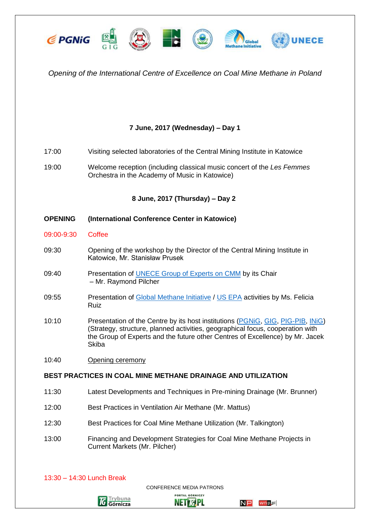

# *Opening of the International Centre of Excellence on Coal Mine Methane in Poland*

# **7 June, 2017 (Wednesday) – Day 1**

- 17:00 Visiting selected laboratories of the Central Mining Institute in Katowice
- 19:00 Welcome reception (including classical music concert of the *Les Femmes* Orchestra in the Academy of Music in Katowice)

## **8 June, 2017 (Thursday) – Day 2**

### **OPENING (International Conference Center in Katowice)**

- 09:00-9:30 Coffee
- 09:30 Opening of the workshop by the Director of the Central Mining Institute in Katowice, Mr. Stanisław Prusek
- 09:40 Presentation of [UNECE Group of Experts on CMM](http://www.unece.org/energy/se/cmm.html) by its Chair – Mr. Raymond Pilcher
- 09:55 Presentation of [Global Methane Initiative](https://www.globalmethane.org/) / [US EPA](https://www.epa.gov/) activities by Ms. Felicia Ruiz
- 10:10 Presentation of the Centre by its host institutions [\(PGNiG,](http://en.pgnig.pl/) [GIG,](https://www.gig.eu/en) [PIG-PIB,](https://www.pgi.gov.pl/en/) INIG) (Strategy, structure, planned activities, geographical focus, cooperation with the Group of Experts and the future other Centres of Excellence) by Mr. Jacek **Skiba**
- 10:40 Opening ceremony

#### **BEST PRACTICES IN COAL MINE METHANE DRAINAGE AND UTILIZATION**

- 11:30 Latest Developments and Techniques in Pre-mining Drainage (Mr. Brunner)
- 12:00 Best Practices in Ventilation Air Methane (Mr. Mattus)
- 12:30 Best Practices for Coal Mine Methane Utilization (Mr. Talkington)
- 13:00 Financing and Development Strategies for Coal Mine Methane Projects in Current Markets (Mr. Pilcher)



13:30 – 14:30 Lunch Break

CONFERENCE MEDIA PATRONS **PORTAL GÓRNICZY** 

**NETIGPL**